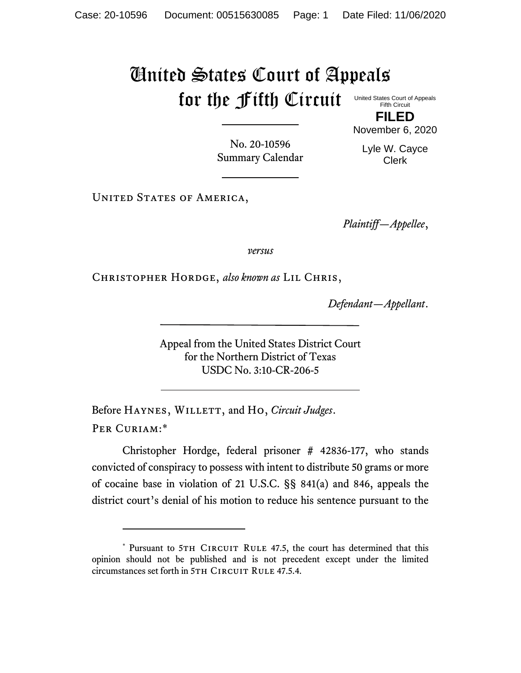## United States Court of Appeals for the Fifth Circuit United States Court of Appeals

Fifth Circuit

**FILED** November 6, 2020

No. 20-10596 Summary Calendar Lyle W. Cayce Clerk

UNITED STATES OF AMERICA,

*Plaintiff—Appellee*,

*versus*

Christopher Hordge, *also known as* Lil Chris,

*Defendant—Appellant*.

Appeal from the United States District Court for the Northern District of Texas USDC No. 3:10-CR-206-5

Before HAYNES, WILLETT, and Ho, *Circuit Judges*. Per Curiam:\*

Christopher Hordge, federal prisoner # 42836-177, who stands convicted of conspiracy to possess with intent to distribute 50 grams or more of cocaine base in violation of 21 U.S.C. §§ 841(a) and 846, appeals the district court's denial of his motion to reduce his sentence pursuant to the

<sup>\*</sup> Pursuant to 5TH CIRCUIT RULE 47.5, the court has determined that this opinion should not be published and is not precedent except under the limited circumstances set forth in 5TH CIRCUIT RULE 47.5.4.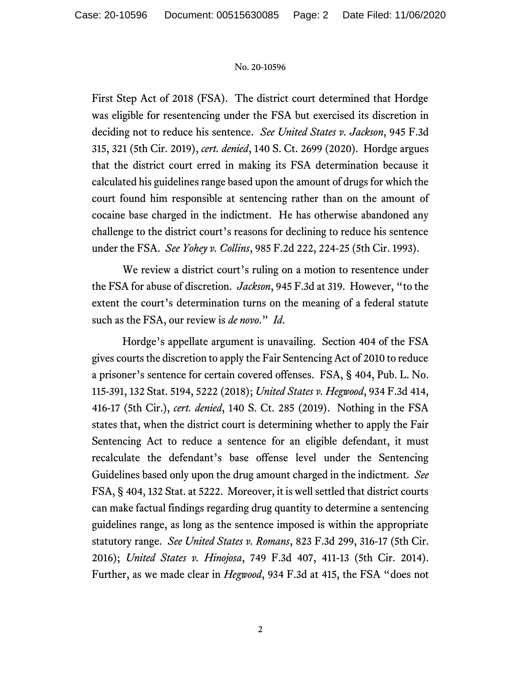## No. 20-10596

First Step Act of 2018 (FSA). The district court determined that Hordge was eligible for resentencing under the FSA but exercised its discretion in deciding not to reduce his sentence. *See United States v. Jackson*, 945 F.3d 315, 321 (5th Cir. 2019), *cert. denied*, 140 S. Ct. 2699 (2020). Hordge argues that the district court erred in making its FSA determination because it calculated his guidelines range based upon the amount of drugs for which the court found him responsible at sentencing rather than on the amount of cocaine base charged in the indictment. He has otherwise abandoned any challenge to the district court's reasons for declining to reduce his sentence under the FSA. *See Yohey v. Collins*, 985 F.2d 222, 224-25 (5th Cir. 1993).

We review a district court's ruling on a motion to resentence under the FSA for abuse of discretion. *Jackson*, 945 F.3d at 319. However, "to the extent the court's determination turns on the meaning of a federal statute such as the FSA, our review is *de novo*." *Id*.

Hordge's appellate argument is unavailing. Section 404 of the FSA gives courts the discretion to apply the Fair Sentencing Act of 2010 to reduce a prisoner's sentence for certain covered offenses. FSA, § 404, Pub. L. No. 115-391, 132 Stat. 5194, 5222 (2018); *United States v. Hegwood*, 934 F.3d 414, 416-17 (5th Cir.), *cert. denied*, 140 S. Ct. 285 (2019). Nothing in the FSA states that, when the district court is determining whether to apply the Fair Sentencing Act to reduce a sentence for an eligible defendant, it must recalculate the defendant's base offense level under the Sentencing Guidelines based only upon the drug amount charged in the indictment. *See*  FSA, § 404, 132 Stat. at 5222. Moreover, it is well settled that district courts can make factual findings regarding drug quantity to determine a sentencing guidelines range, as long as the sentence imposed is within the appropriate statutory range. *See United States v. Romans*, 823 F.3d 299, 316-17 (5th Cir. 2016); *United States v. Hinojosa*, 749 F.3d 407, 411-13 (5th Cir. 2014). Further, as we made clear in *Hegwood*, 934 F.3d at 415, the FSA "does not